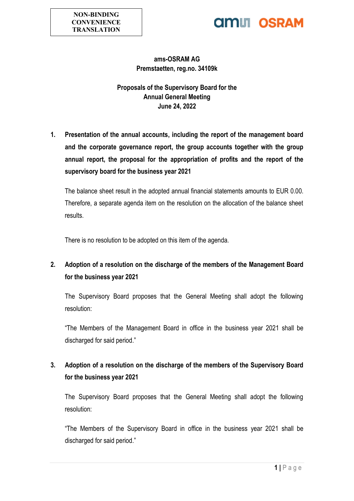## **AMIL OSRAM**

#### **ams-OSRAM AG Premstaetten, reg.no. 34109k**

**Proposals of the Supervisory Board for the Annual General Meeting June 24, 2022**

**1. Presentation of the annual accounts, including the report of the management board and the corporate governance report, the group accounts together with the group annual report, the proposal for the appropriation of profits and the report of the supervisory board for the business year 2021**

The balance sheet result in the adopted annual financial statements amounts to EUR 0.00. Therefore, a separate agenda item on the resolution on the allocation of the balance sheet results.

There is no resolution to be adopted on this item of the agenda.

### **2. Adoption of a resolution on the discharge of the members of the Management Board for the business year 2021**

The Supervisory Board proposes that the General Meeting shall adopt the following resolution:

"The Members of the Management Board in office in the business year 2021 shall be discharged for said period."

### **3. Adoption of a resolution on the discharge of the members of the Supervisory Board for the business year 2021**

The Supervisory Board proposes that the General Meeting shall adopt the following resolution:

"The Members of the Supervisory Board in office in the business year 2021 shall be discharged for said period."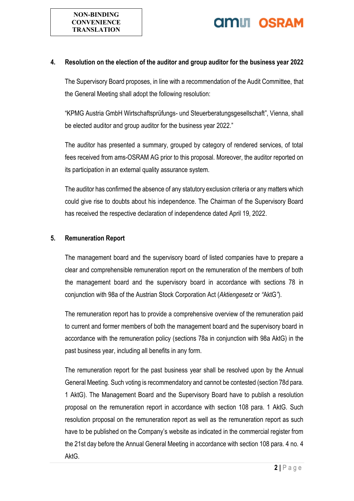

### **AMIL OSRAM**

#### **4. Resolution on the election of the auditor and group auditor for the business year 2022**

The Supervisory Board proposes, in line with a recommendation of the Audit Committee, that the General Meeting shall adopt the following resolution:

"KPMG Austria GmbH Wirtschaftsprüfungs- und Steuerberatungsgesellschaft", Vienna, shall be elected auditor and group auditor for the business year 2022."

The auditor has presented a summary, grouped by category of rendered services, of total fees received from ams-OSRAM AG prior to this proposal. Moreover, the auditor reported on its participation in an external quality assurance system.

The auditor has confirmed the absence of any statutory exclusion criteria or any matters which could give rise to doubts about his independence. The Chairman of the Supervisory Board has received the respective declaration of independence dated April 19, 2022.

#### **5. Remuneration Report**

The management board and the supervisory board of listed companies have to prepare a clear and comprehensible remuneration report on the remuneration of the members of both the management board and the supervisory board in accordance with sections 78 in conjunction with 98a of the Austrian Stock Corporation Act (*Aktiengesetz* or *"*AktG*"*).

The remuneration report has to provide a comprehensive overview of the remuneration paid to current and former members of both the management board and the supervisory board in accordance with the remuneration policy (sections 78a in conjunction with 98a AktG) in the past business year, including all benefits in any form.

The remuneration report for the past business year shall be resolved upon by the Annual General Meeting. Such voting is recommendatory and cannot be contested (section 78d para. 1 AktG). The Management Board and the Supervisory Board have to publish a resolution proposal on the remuneration report in accordance with section 108 para. 1 AktG. Such resolution proposal on the remuneration report as well as the remuneration report as such have to be published on the Company's website as indicated in the commercial register from the 21st day before the Annual General Meeting in accordance with section 108 para. 4 no. 4 AktG.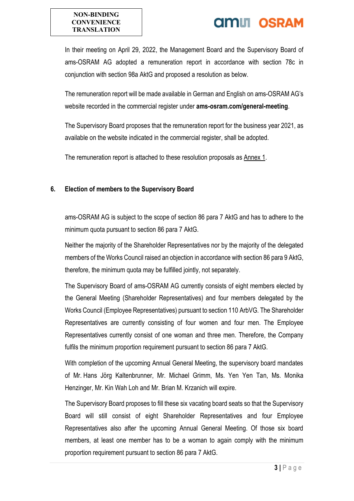#### **NON-BINDING CONVENIENCE TRANSLATION**

## **AMIT OSRAM**

In their meeting on April 29, 2022, the Management Board and the Supervisory Board of ams-OSRAM AG adopted a remuneration report in accordance with section 78c in conjunction with section 98a AktG and proposed a resolution as below.

The remuneration report will be made available in German and English on ams-OSRAM AG's website recorded in the commercial register under **ams-osram.com/general-meeting**.

The Supervisory Board proposes that the remuneration report for the business year 2021, as available on the website indicated in the commercial register, shall be adopted.

The remuneration report is attached to these resolution proposals as Annex 1.

#### **6. Election of members to the Supervisory Board**

ams-OSRAM AG is subject to the scope of section 86 para 7 AktG and has to adhere to the minimum quota pursuant to section 86 para 7 AktG.

Neither the majority of the Shareholder Representatives nor by the majority of the delegated members of the Works Council raised an objection in accordance with section 86 para 9 AktG, therefore, the minimum quota may be fulfilled jointly, not separately.

The Supervisory Board of ams-OSRAM AG currently consists of eight members elected by the General Meeting (Shareholder Representatives) and four members delegated by the Works Council (Employee Representatives) pursuant to section 110 ArbVG. The Shareholder Representatives are currently consisting of four women and four men. The Employee Representatives currently consist of one woman and three men. Therefore, the Company fulfils the minimum proportion requirement pursuant to section 86 para 7 AktG.

With completion of the upcoming Annual General Meeting, the supervisory board mandates of Mr. Hans Jörg Kaltenbrunner, Mr. Michael Grimm, Ms. Yen Yen Tan, Ms. Monika Henzinger, Mr. Kin Wah Loh and Mr. Brian M. Krzanich will expire.

The Supervisory Board proposes to fill these six vacating board seats so that the Supervisory Board will still consist of eight Shareholder Representatives and four Employee Representatives also after the upcoming Annual General Meeting. Of those six board members, at least one member has to be a woman to again comply with the minimum proportion requirement pursuant to section 86 para 7 AktG.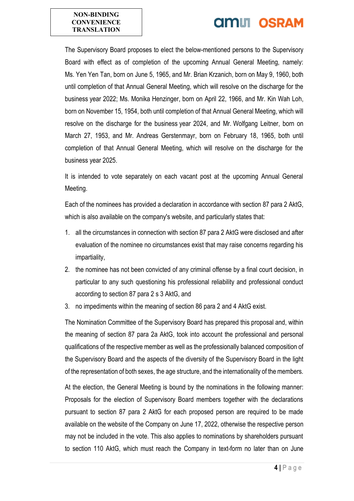#### **NON-BINDING CONVENIENCE TRANSLATION**

# **OMLI OSRAM**

The Supervisory Board proposes to elect the below-mentioned persons to the Supervisory Board with effect as of completion of the upcoming Annual General Meeting, namely: Ms. Yen Yen Tan, born on June 5, 1965, and Mr. Brian Krzanich, born on May 9, 1960, both until completion of that Annual General Meeting, which will resolve on the discharge for the business year 2022; Ms. Monika Henzinger, born on April 22, 1966, and Mr. Kin Wah Loh, born on November 15, 1954, both until completion of that Annual General Meeting, which will resolve on the discharge for the business year 2024, and Mr. Wolfgang Leitner, born on March 27, 1953, and Mr. Andreas Gerstenmayr, born on February 18, 1965, both until completion of that Annual General Meeting, which will resolve on the discharge for the business year 2025.

It is intended to vote separately on each vacant post at the upcoming Annual General Meeting.

Each of the nominees has provided a declaration in accordance with section 87 para 2 AktG, which is also available on the company's website, and particularly states that:

- 1. all the circumstances in connection with section 87 para 2 AktG were disclosed and after evaluation of the nominee no circumstances exist that may raise concerns regarding his impartiality,
- 2. the nominee has not been convicted of any criminal offense by a final court decision, in particular to any such questioning his professional reliability and professional conduct according to section 87 para 2 s 3 AktG, and
- 3. no impediments within the meaning of section 86 para 2 and 4 AktG exist.

The Nomination Committee of the Supervisory Board has prepared this proposal and, within the meaning of section 87 para 2a AktG, took into account the professional and personal qualifications of the respective member as well as the professionally balanced composition of the Supervisory Board and the aspects of the diversity of the Supervisory Board in the light of the representation of both sexes, the age structure, and the internationality of the members.

At the election, the General Meeting is bound by the nominations in the following manner: Proposals for the election of Supervisory Board members together with the declarations pursuant to section 87 para 2 AktG for each proposed person are required to be made available on the website of the Company on June 17, 2022, otherwise the respective person may not be included in the vote. This also applies to nominations by shareholders pursuant to section 110 AktG, which must reach the Company in text-form no later than on June